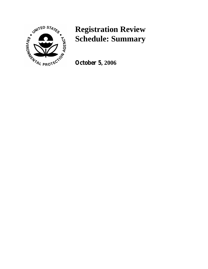

## **Registration Review Schedule: Summary**

**October 5, 2006**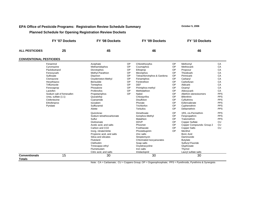## **EPA Office of Pesticide Programs: Registration Review Schedule Summary <b>DESA OCTOBER 5, 2006** October 5, 2006  **Planned Schedule for Opening Registration Review Dockets**

**FY '07 Dockets FY '08 Dockets FY '09 Dockets FY '10 DocketsALL PESTICIDES 25 45 46 46CONVENTIONAL PESTICIDES**Fenarimol Acephate OP Chlorethoxyfos OP Methomyl CA Cyromazine Methamidophos OP Coumaphos OP Methiocarb CA Paclobutrazol Dicrotophos OP Ethoprop OP Propoxur CA Fenoxycarb Methyl-Parathion OP Mevinphos OP Thiodicarb CA Sulfosate Diazinon OP Tetrachlorvinphos & Gardona OP Pirimicarb CA Clomazone **Oxydemeton-Methyl** OP Fenamiphos OP Carbaryl OP Carbaryl Hexythiazox Bensulide OP Fenitrothion OP Carbofuran CA Triflumizole Temephos OP DEF OP Aldicarb CA Fenoxaprop **Phosalone** Phosalone OP Pirimiphos-methyl OP Oxamyl CA Lactofen Profenofos OP Methidathion OP Aldoxycarb CA Sodium salt of fomesafen **Propetamphos** OP Naled OP Allethrin stereoisomers PPS Urea, sulfate (1:1) Quizalofop Chlorpyrifos OP Bifenthrin PPS Clofentezine Cyanamide Disulfoton OP Cyfluthrins PPS Ethofenprox Isoxaben Phorate OP Esfenvalerate PPS Pyridate Sulfluramid Trichlorfon OP Cyphenothrin PPS Aliette **Terbufos Terbufos** OP Deltamethrin **PPS** Quinclorac Dimethoate OP 1RS, cis-Permethrin PPS Sodium tetrathiocarbonate  $\overline{A}$  Azinphos-Methyl  $\overline{OP}$  Fenpropathrin PPS Sulfur **Malathion** Malathion **OP** Tralomethrin **PPS** Glufosinate DDVP OP Copper Sulfate CU Acetic acid, and salts **Acetic acid, and salts** Phosmet **OP** Copper Compounds: Group 2 CU<br>
Carbon and CO2 **P** Copper Salts CU Carbon and CO2 Fosthiazate Inorg. nitrate/nitrite **Phostebupirim** OP Menthol<br>Propionic acid. and salts **Propionic acides** Boric Acid Propionic acid, and salts **Example 2** 2 Zinc salts **Boric Acid**<br>
Silica and silicates **Container Streptomycin**<br>
Streptomycin Silica and silicates Streptomycin Base Flutolanil Chlorinated Isocyanurates Butylate Clethodim Soap salts Soap salts Sulfuryl Fluoride<br>
Sulfuryl Fluoride Sulfuryl Fluoride Sylvetracycline Sylvethone Sylvetracycline Sylvetracycline Sylvetracyclin Oxytetracycline Flumetsulam **Iron salts** Iron salts Iron salts Thymol Citric acid, and salts Imidacloprid Lauryl sulfate salts **Conventionals Totals**15 30 30 30 30 30 30 30

Note: CA = Carbamate; CU = Coppers Group; OP = Organophosphate; PPS = Pyrethroids, Pyrethrins & Synergists